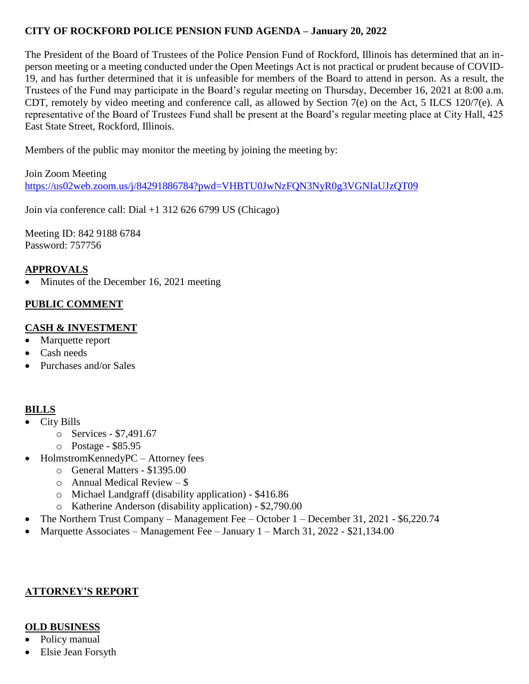## **CITY OF ROCKFORD POLICE PENSION FUND AGENDA – January 20, 2022**

The President of the Board of Trustees of the Police Pension Fund of Rockford, Illinois has determined that an inperson meeting or a meeting conducted under the Open Meetings Act is not practical or prudent because of COVID-19, and has further determined that it is unfeasible for members of the Board to attend in person. As a result, the Trustees of the Fund may participate in the Board's regular meeting on Thursday, December 16, 2021 at 8:00 a.m. CDT, remotely by video meeting and conference call, as allowed by Section 7(e) on the Act, 5 ILCS 120/7(e). A representative of the Board of Trustees Fund shall be present at the Board's regular meeting place at City Hall, 425 East State Street, Rockford, Illinois.

Members of the public may monitor the meeting by joining the meeting by:

Join Zoom Meeting <https://us02web.zoom.us/j/84291886784?pwd=VHBTU0JwNzFQN3NyR0g3VGNIaUJzQT09>

Join via conference call: Dial +1 312 626 6799 US (Chicago)

Meeting ID: 842 9188 6784 Password: 757756

## **APPROVALS**

Minutes of the December 16, 2021 meeting

# **PUBLIC COMMENT**

## **CASH & INVESTMENT**

- Marquette report
- Cash needs
- Purchases and/or Sales

#### **BILLS**

- City Bills
	- o Services \$7,491.67
	- o Postage \$85.95
- HolmstromKennedyPC Attorney fees
	- o General Matters \$1395.00
	- $\circ$  Annual Medical Review \$
	- o Michael Landgraff (disability application) \$416.86
	- o Katherine Anderson (disability application) \$2,790.00
- The Northern Trust Company Management Fee October 1 December 31, 2021 \$6,220.74
- Marquette Associates Management Fee January 1 March 31, 2022 \$21,134.00

#### **ATTORNEY'S REPORT**

#### **OLD BUSINESS**

- Policy manual
- Elsie Jean Forsyth